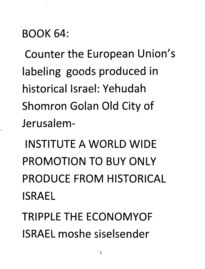#### *BOOK 64:*

*Counter the European Union's labeling goods produced in historical Israel: Yehudah Shomron Golan Old City of Jerusalem-*

*INSTITUTE A WORLD WIDE PROMOTION TO BUY ONLY PRODUCE FROM HISTORICAL ISRAEL*

*TRIPPLETHE ECONOMYOF ISRAEL moshe siselsender*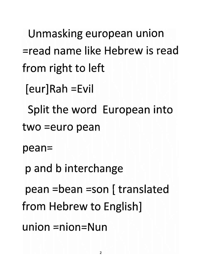*Unmasking european union =read name like Hebrew is read from right to left*

*[eur]Rah =Evil*

*Split the word European into*

*two =euro pean*

*pean=*

*p and b interchange*

*pean =bean =son [translated*

*from Hebrew to English]*

*union =nion=Nun*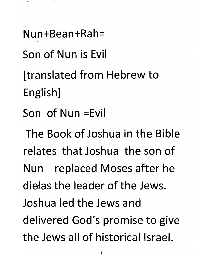*Nun+Bean+Rah=*

*Son of Nun is Evil*

*[translated from Hebrew to English]*

*Son of Nun =Evil*

*The Book of Joshua in the Bible relates that Joshua the son of Nun replaced Moses after he die/as the leader of the Jews. Joshua led the Jews and delivered God's promise to give the Jews all of historical Israel.*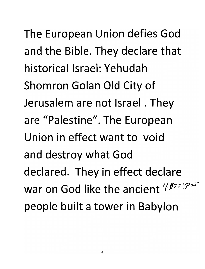*The European Union defies God and the Bible. They declare that historical Israel: Yehudah Shomron Golan Old City of Jerusalem are not Israel. They are "Palestine". The European Union in effect want to void and destroy what God declared. They in effect declare war* on God like the ancient  $4^{f\circ f\circ f\circ f\circ af}$ *people built a tower in Babylon*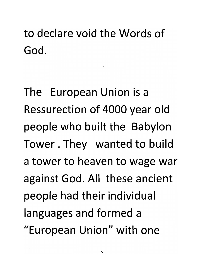*to declare void the Words of God.*

*The European Union is a Ressurection of 4000 year old people who built the Babylon Tower. They wanted to build a tower to heaven to wage war against God. All these ancient people had their individual languages and formed a "European Union" with one*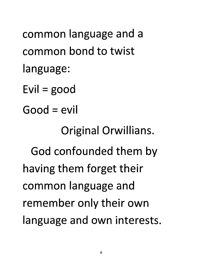*common language and a common bond to twist language: Evil =good Good = evil Original Orwillians. God confounded them by having them forget their common language and remember only their own language and own interests*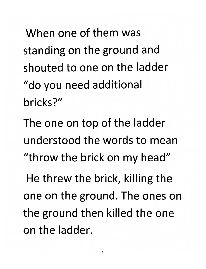*When one of them was standing on the ground and shouted to one on the ladder "do you need additional bricks?"*

*The one on top of the ladder understood the words to mean "throw the brick on my head"*

*He threw the brick, killing the one on the ground. The ones on the ground then killed the one on the ladder.*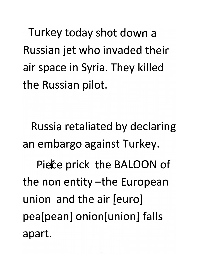*Turkey today shot down a Russian jet who invaded their air space in Syria. They killed the Russian pilot.*

*Russia retaliated by declaring an embargo against Turkey.*

*Piefce prick the BALOON of the non entity-the European union and the air [euro] pea[pean] onion[union] falls apart.*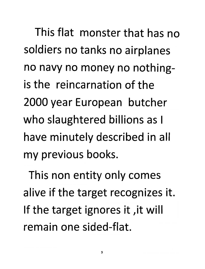*This flat monster that has no soldiers no tanks no airplanes no navy no money no nothingis the reincarnation of the 2000 year European butcher who slaughtered billions as I have minutely described in all my previous books.*

*This non entity only comes alive if the target recognizes it. If the target ignores it ,it will remain one sided-flat.*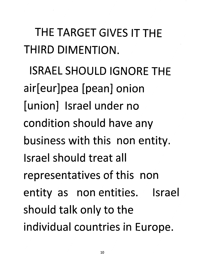*THE TARGET GIVES IT THE THIRD DIMENTION.*

*ISRAEL SHOULD IGNORE THE air[eur]pea [pean] onion [union] Israel under no condition should have any business with this non entity. Israel should treat all representatives of this non entity as non entities. Israel should talk only to the individual countries in Europe.*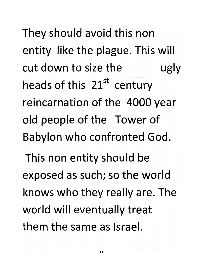*They should avoid this non entity like the plague. This will cut down to size the ugly heads of this 21st century reincarnation of the 4000 year old people of the Tower of Babylon who confronted God.*

*This non entity should be exposed as such; so the world knows who they really are. The world will eventually treat them the same as Israel.*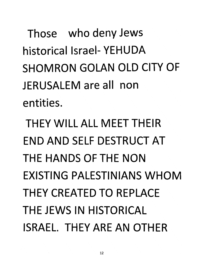*Those who deny Jews historical Israel-YEHUDA SHOMRON GOLAN OLD CITY OF JERUSALEM are all non entities.*

*THEY WILL ALL MEET THEIR END AND SELF DESTRUCT AT THE HANDS OF THENON EXISTING PALESTINIANS WHOM THEY CREATED TO REPLACE THE JEWS IN HISTORICAL ISRAEL. THEY ARE AN OTHER*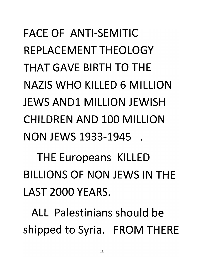*FACE OF ANTI-SEMITIC REPLACEMENT THEOLOGY THAT GAVE BIRTH TO THE NAZIS WHO KILLED 6 MILLION JEWS AND1 MILLION JEWISH CHILDREN AND 100 MILLION NON JEWS 1933-1945 .*

*THE Europeans KILLED BILLIONS OF NON JEWS IN THE LAST 2000 YEARS.*

*ALL Palestinians should be shipped to Syria. FROM THERE*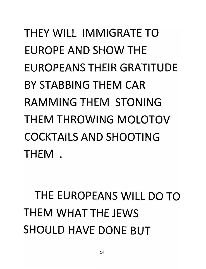### *THEY WILL IMMIGRATE TO EUROPE AND SHOW THE EUROPEANS THEIR GRATITUDE BY STABBING THEM CAR RAMMING THEM STONING THEM THROWING MOLOTOV COCKTAILS AND SHOOTING THEM .*

### *THE EUROPEANS WILL DO TO THEM WHAT THE JEWS SHOULD HAVE DONE BUT*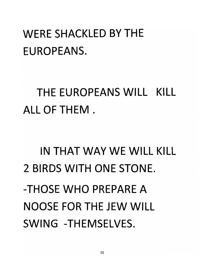#### *WERE SHACKLED BY THE EUROPEANS.*

*THE EUROPEANS WILL KILL ALL OF THEM.*

*IN THAT WAY WE WILL KILL 2 BIRDS WITH ONE STONE. -THOSE WHO PREPARE A NOOSE FOR THE JEW WILL SWING -THEMSELVES.*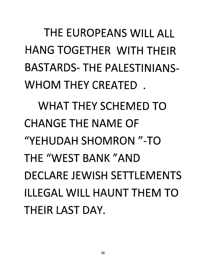*THE EUROPEANS WILL ALL HANG TOGETHER WITH THEIR BASTARDS-THE PALESTINIANS-WHOM THEY CREATED . WHAT THEY SCHEMED TO CHANGE THE NAME OF "YEHUDAH SHOMRON "-TO THE "WEST BANK "AND DECLARE JEWISH SETTLEMENTS ILLEGAL WILL HAUNT THEM TO THEIR LAST DAY.*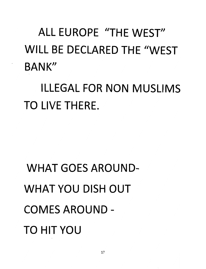*ALL EUROPE "THE WEST" WILL BE DECLARED THE "WEST BANK"*

*ILLEGAL FOR NON MUSLIMS TO LIVE THERE.*

*WHAT GOES AROUND-WHAT YOU DISH OUT COMES AROUND-TO HIT YOU*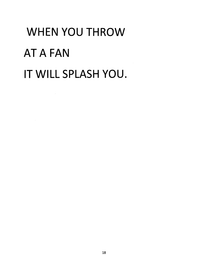# *WHEN YOU THROW AT A FAN IT WILL SPLASH YOU.*

 $\mathcal{L}^{\text{max}}_{\text{max}}$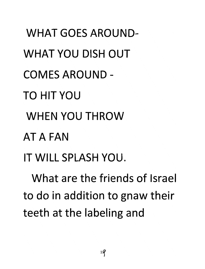*WHAT GOES AROUND-WHAT YOU DISH OUT COMES AROUND-TO HIT YOU WHEN YOU THROW AT A FAN IT WILL SPLASH YOU. What are the friends of Israel*

*to do in addition to gnaw their teeth at the labeling and*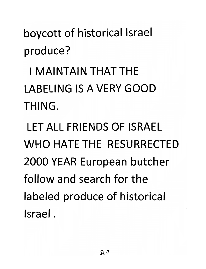*boycott of historical Israel produce?*

*I MAINTAIN THAT THE LABELING IS A VERY GOOD THING.*

*LET ALL FRIENDS OF ISRAEL WHO HATE THE RESURRECTED 2000 YEAR European butcher follow and search for the labeled produce of historical Israel.*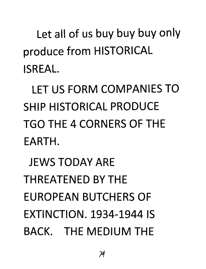*Let all of us buy buy buy only produce from HISTORICAL ISREAL*

*LET US FORM COMPANIES TO SHIP HISTORICAL PRODUCE TGO THE 4 CORNERS OF THE EARTH.*

*JEWS TODAY ARE THREATENED BY THE EUROPEAN BUTCHERS OF EXTINCTION. 1934-1944 IS BACK. THE MEDIUM THE*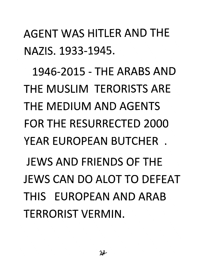*AGENT WAS HITLER AND THE NAZIS. 1933-1945.*

*1946-2015 - THE ARABS AND THE MUSLIM TERORISTSARE THE MEDIUM AND AGENTS FOR THE RESURRECTED 2000 YEAR EUROPEAN BUTCHER . JEWS AND FRIENDS OF THE JEWS CAN DO ALOT TO DEFEAT THIS EUROPEAN AND ARAB TERRORIST VERMIN.*